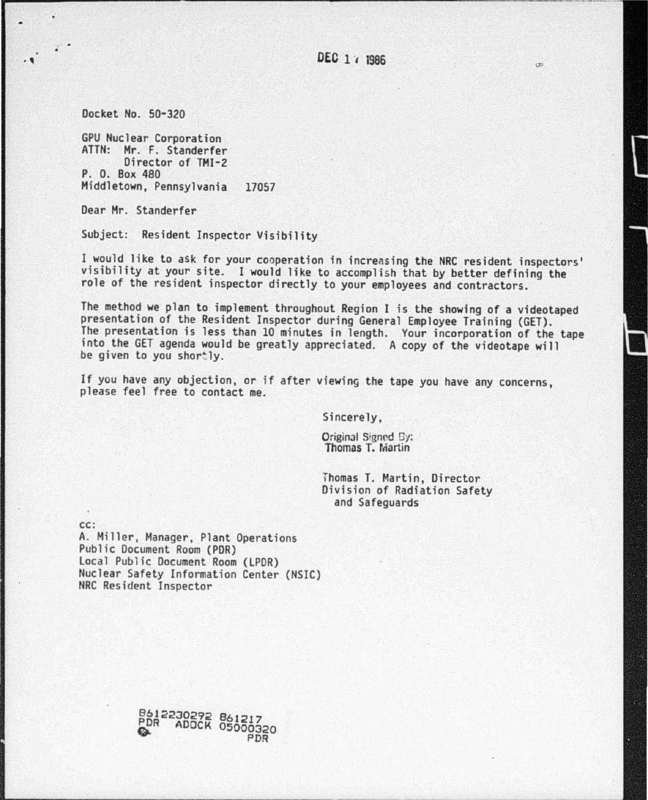$(\pm)$ 

Docket *No.* 50-320

GPU Nuclear Corporation ATTN : Mr. F. Standerfer Director of TMI-2 P. 0. Box 480 Middletown, Pennsylvania 17057

Dear Mr. Standerfer

Subject: Resident Inspector Visibility

I would like to ask for your cooperation in increasing the NRC resident inspectors' visibility at your site. I would like to accomplish that by better defining the role of the resident inspector directly to your employees and contractors.

The method we plan to implement throughout Region I is the showing of a videotaped<br>presentation of the Resident Inspector during General Employee Training (GET).<br>The presentation is less than 10 minutes in length. Your inc be given to you shortly.

If you have any objection, or if after viewing the tape you have any concerns, please feel free to contact me.

Sincerely,

Original Signed Gy:<br>Thomas T. Martin

Thomas T. Martin, Director Division of Radiation Safety and Safeguards

cc:

A. Miller, Manager, Plant Operations<br>Public Document Room (PDR) Local Public Document Room (LPDR) Nuclear Safety Information Center (NSIC} NRC Resident Inspector

> 8612230292 861217<br>PDR ADOCK 05000320 PDR